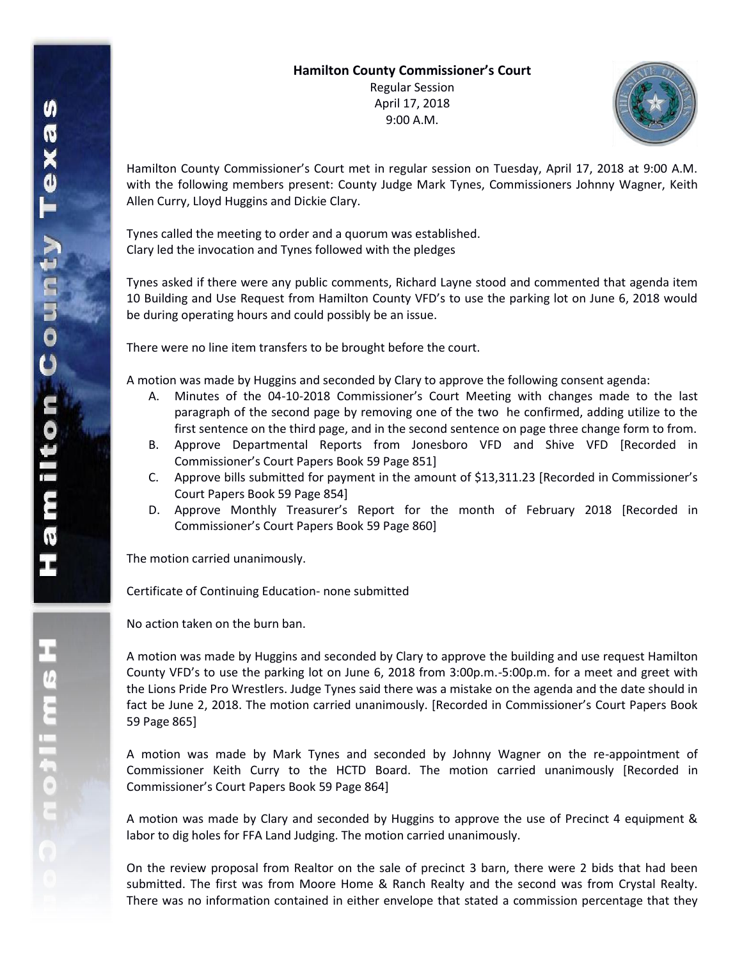## **Hamilton County Commissioner's Court**

Regular Session April 17, 2018 9:00 A.M.



Hamilton County Commissioner's Court met in regular session on Tuesday, April 17, 2018 at 9:00 A.M. with the following members present: County Judge Mark Tynes, Commissioners Johnny Wagner, Keith Allen Curry, Lloyd Huggins and Dickie Clary.

Tynes called the meeting to order and a quorum was established. Clary led the invocation and Tynes followed with the pledges

Tynes asked if there were any public comments, Richard Layne stood and commented that agenda item 10 Building and Use Request from Hamilton County VFD's to use the parking lot on June 6, 2018 would be during operating hours and could possibly be an issue.

There were no line item transfers to be brought before the court.

A motion was made by Huggins and seconded by Clary to approve the following consent agenda:

- A. Minutes of the 04-10-2018 Commissioner's Court Meeting with changes made to the last paragraph of the second page by removing one of the two he confirmed, adding utilize to the first sentence on the third page, and in the second sentence on page three change form to from.
- B. Approve Departmental Reports from Jonesboro VFD and Shive VFD [Recorded in Commissioner's Court Papers Book 59 Page 851]
- C. Approve bills submitted for payment in the amount of \$13,311.23 [Recorded in Commissioner's Court Papers Book 59 Page 854]
- D. Approve Monthly Treasurer's Report for the month of February 2018 [Recorded in Commissioner's Court Papers Book 59 Page 860]

The motion carried unanimously.

Certificate of Continuing Education- none submitted

No action taken on the burn ban.

A motion was made by Huggins and seconded by Clary to approve the building and use request Hamilton County VFD's to use the parking lot on June 6, 2018 from 3:00p.m.-5:00p.m. for a meet and greet with the Lions Pride Pro Wrestlers. Judge Tynes said there was a mistake on the agenda and the date should in fact be June 2, 2018. The motion carried unanimously. [Recorded in Commissioner's Court Papers Book 59 Page 865]

A motion was made by Mark Tynes and seconded by Johnny Wagner on the re-appointment of Commissioner Keith Curry to the HCTD Board. The motion carried unanimously [Recorded in Commissioner's Court Papers Book 59 Page 864]

A motion was made by Clary and seconded by Huggins to approve the use of Precinct 4 equipment & labor to dig holes for FFA Land Judging. The motion carried unanimously.

On the review proposal from Realtor on the sale of precinct 3 barn, there were 2 bids that had been submitted. The first was from Moore Home & Ranch Realty and the second was from Crystal Realty. There was no information contained in either envelope that stated a commission percentage that they

エムにこれのこ